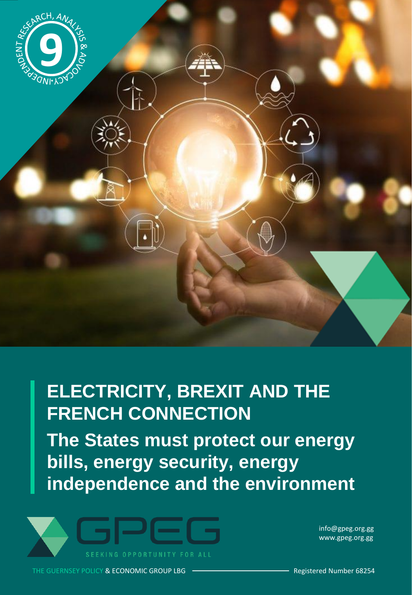

# **ELECTRICITY, BREXIT AND THE FRENCH CONNECTION**

**The States must protect our energy bills, energy security, energy independence and the environment**



info@gpeg.org.gg www.gpeg.org.gg

THE GUERNSEY POLICY & ECONOMIC GROUP LBG **CONCLUSE CONCLUSE CONTROLLY Registered Number 68254**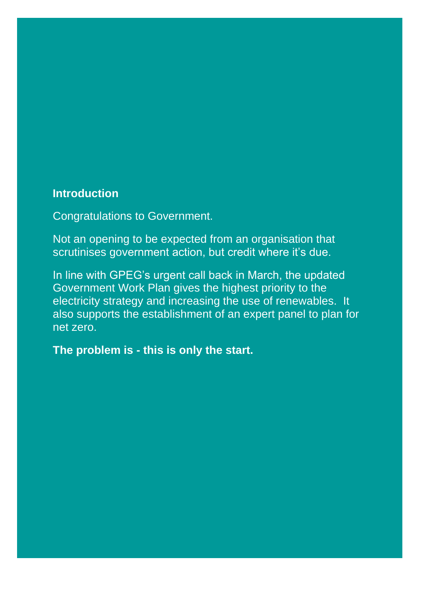# **Introduction**

Congratulations to Government.

Not an opening to be expected from an organisation that scrutinises government action, but credit where it's due.

In line with GPEG's urgent call back in March, the updated Government Work Plan gives the highest priority to the electricity strategy and increasing the use of renewables. It also supports the establishment of an expert panel to plan for net zero.

**The problem is - this is only the start.**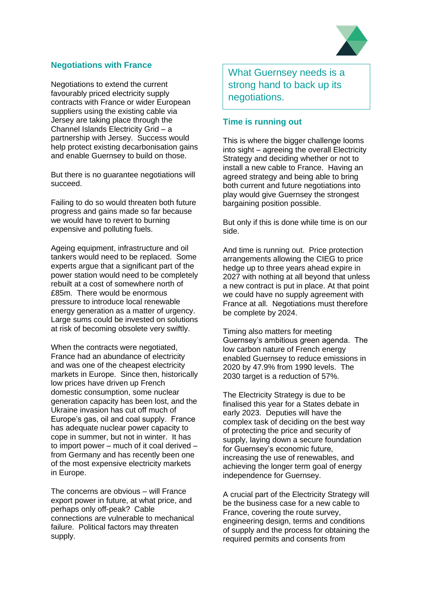# **Negotiations with France**

Negotiations to extend the current favourably priced electricity supply contracts with France or wider European suppliers using the existing cable via Jersey are taking place through the Channel Islands Electricity Grid – a partnership with Jersey. Success would help protect existing decarbonisation gains and enable Guernsey to build on those.

But there is no guarantee negotiations will succeed.

Failing to do so would threaten both future progress and gains made so far because we would have to revert to burning expensive and polluting fuels.

Ageing equipment, infrastructure and oil tankers would need to be replaced. Some experts argue that a significant part of the power station would need to be completely rebuilt at a cost of somewhere north of £85m. There would be enormous pressure to introduce local renewable energy generation as a matter of urgency. Large sums could be invested on solutions at risk of becoming obsolete very swiftly.

When the contracts were negotiated, France had an abundance of electricity and was one of the cheapest electricity markets in Europe. Since then, historically low prices have driven up French domestic consumption, some nuclear generation capacity has been lost, and the Ukraine invasion has cut off much of Europe's gas, oil and coal supply. France has adequate nuclear power capacity to cope in summer, but not in winter. It has to import power – much of it coal derived – from Germany and has recently been one of the most expensive electricity markets in Europe.

The concerns are obvious – will France export power in future, at what price, and perhaps only off-peak? Cable connections are vulnerable to mechanical failure. Political factors may threaten supply.

What Guernsey needs is a strong hand to back up its negotiations.

# **Time is running out**

This is where the bigger challenge looms into sight – agreeing the overall Electricity Strategy and deciding whether or not to install a new cable to France. Having an agreed strategy and being able to bring both current and future negotiations into play would give Guernsey the strongest bargaining position possible.

But only if this is done while time is on our side.

And time is running out. Price protection arrangements allowing the CIEG to price hedge up to three years ahead expire in 2027 with nothing at all beyond that unless a new contract is put in place. At that point we could have no supply agreement with France at all. Negotiations must therefore be complete by 2024.

Timing also matters for meeting Guernsey's ambitious green agenda. The low carbon nature of French energy enabled Guernsey to reduce emissions in 2020 by 47.9% from 1990 levels. The 2030 target is a reduction of 57%.

The Electricity Strategy is due to be finalised this year for a States debate in early 2023. Deputies will have the complex task of deciding on the best way of protecting the price and security of supply, laying down a secure foundation for Guernsey's economic future, increasing the use of renewables, and achieving the longer term goal of energy independence for Guernsey.

A crucial part of the Electricity Strategy will be the business case for a new cable to France, covering the route survey, engineering design, terms and conditions of supply and the process for obtaining the required permits and consents from

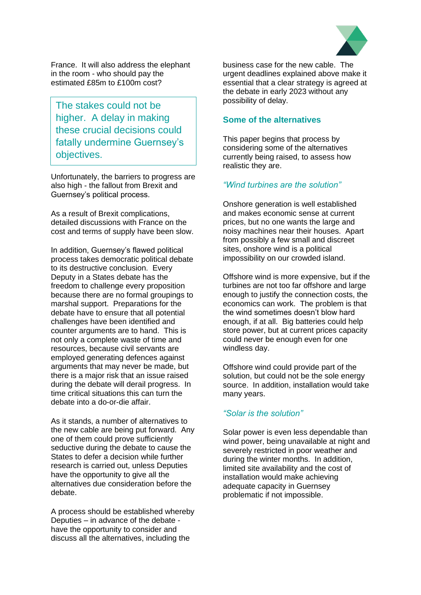

France. It will also address the elephant in the room - who should pay the estimated £85m to £100m cost?

The stakes could not be higher. A delay in making these crucial decisions could fatally undermine Guernsey's objectives.

Unfortunately, the barriers to progress are also high - the fallout from Brexit and Guernsey's political process.

As a result of Brexit complications, detailed discussions with France on the cost and terms of supply have been slow.

In addition, Guernsey's flawed political process takes democratic political debate to its destructive conclusion. Every Deputy in a States debate has the freedom to challenge every proposition because there are no formal groupings to marshal support. Preparations for the debate have to ensure that all potential challenges have been identified and counter arguments are to hand. This is not only a complete waste of time and resources, because civil servants are employed generating defences against arguments that may never be made, but there is a major risk that an issue raised during the debate will derail progress. In time critical situations this can turn the debate into a do-or-die affair.

As it stands, a number of alternatives to the new cable are being put forward. Any one of them could prove sufficiently seductive during the debate to cause the States to defer a decision while further research is carried out, unless Deputies have the opportunity to give all the alternatives due consideration before the debate.

A process should be established whereby Deputies – in advance of the debate have the opportunity to consider and discuss all the alternatives, including the

business case for the new cable. The urgent deadlines explained above make it essential that a clear strategy is agreed at the debate in early 2023 without any possibility of delay.

## **Some of the alternatives**

This paper begins that process by considering some of the alternatives currently being raised, to assess how realistic they are.

# *"Wind turbines are the solution"*

Onshore generation is well established and makes economic sense at current prices, but no one wants the large and noisy machines near their houses. Apart from possibly a few small and discreet sites, onshore wind is a political impossibility on our crowded island.

Offshore wind is more expensive, but if the turbines are not too far offshore and large enough to justify the connection costs, the economics can work. The problem is that the wind sometimes doesn't blow hard enough, if at all. Big batteries could help store power, but at current prices capacity could never be enough even for one windless day.

Offshore wind could provide part of the solution, but could not be the sole energy source. In addition, installation would take many years.

# *"Solar is the solution"*

Solar power is even less dependable than wind power, being unavailable at night and severely restricted in poor weather and during the winter months. In addition, limited site availability and the cost of installation would make achieving adequate capacity in Guernsey problematic if not impossible.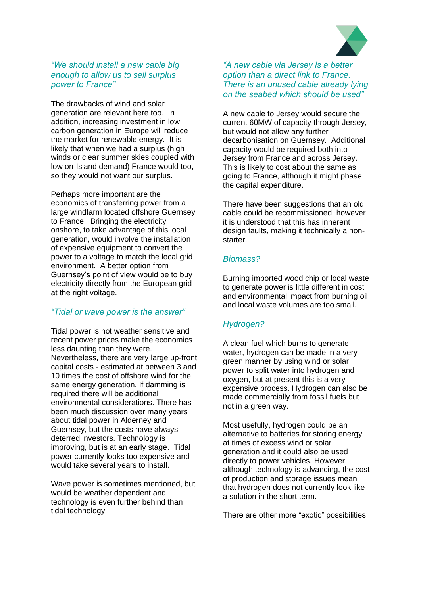

## *"We should install a new cable big enough to allow us to sell surplus power to France"*

The drawbacks of wind and solar generation are relevant here too. In addition, increasing investment in low carbon generation in Europe will reduce the market for renewable energy. It is likely that when we had a surplus (high winds or clear summer skies coupled with low on-Island demand) France would too, so they would not want our surplus.

Perhaps more important are the economics of transferring power from a large windfarm located offshore Guernsey to France. Bringing the electricity onshore, to take advantage of this local generation, would involve the installation of expensive equipment to convert the power to a voltage to match the local grid environment. A better option from Guernsey's point of view would be to buy electricity directly from the European grid at the right voltage.

#### *"Tidal or wave power is the answer"*

Tidal power is not weather sensitive and recent power prices make the economics less daunting than they were. Nevertheless, there are very large up-front capital costs - estimated at between 3 and 10 times the cost of offshore wind for the same energy generation. If damming is required there will be additional environmental considerations. There has been much discussion over many years about tidal power in Alderney and Guernsey, but the costs have always deterred investors. Technology is improving, but is at an early stage. Tidal power currently looks too expensive and would take several years to install.

Wave power is sometimes mentioned, but would be weather dependent and technology is even further behind than tidal technology

*"A new cable via Jersey is a better option than a direct link to France. There is an unused cable already lying on the seabed which should be used"*

A new cable to Jersey would secure the current 60MW of capacity through Jersey, but would not allow any further decarbonisation on Guernsey. Additional capacity would be required both into Jersey from France and across Jersey. This is likely to cost about the same as going to France, although it might phase the capital expenditure.

There have been suggestions that an old cable could be recommissioned, however it is understood that this has inherent design faults, making it technically a nonstarter.

#### *Biomass?*

Burning imported wood chip or local waste to generate power is little different in cost and environmental impact from burning oil and local waste volumes are too small.

# *Hydrogen?*

A clean fuel which burns to generate water, hydrogen can be made in a very green manner by using wind or solar power to split water into hydrogen and oxygen, but at present this is a very expensive process. Hydrogen can also be made commercially from fossil fuels but not in a green way.

Most usefully, hydrogen could be an alternative to batteries for storing energy at times of excess wind or solar generation and it could also be used directly to power vehicles. However, although technology is advancing, the cost of production and storage issues mean that hydrogen does not currently look like a solution in the short term.

There are other more "exotic" possibilities.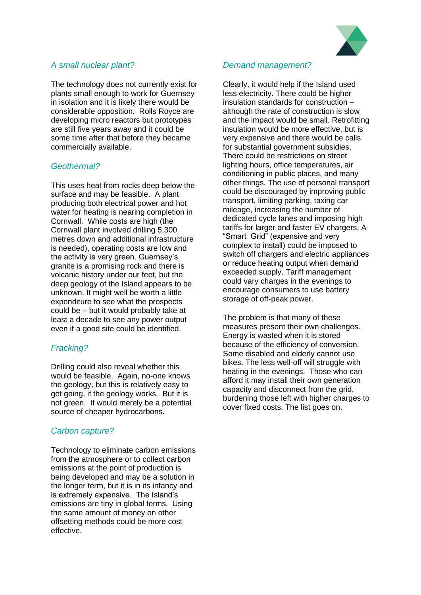

# *A small nuclear plant?*

The technology does not currently exist for plants small enough to work for Guernsey in isolation and it is likely there would be considerable opposition. Rolls Royce are developing micro reactors but prototypes are still five years away and it could be some time after that before they became commercially available.

# *Geothermal?*

This uses heat from rocks deep below the surface and may be feasible. A plant producing both electrical power and hot water for heating is nearing completion in Cornwall. While costs are high (the Cornwall plant involved drilling 5,300 metres down and additional infrastructure is needed), operating costs are low and the activity is very green. Guernsey's granite is a promising rock and there is volcanic history under our feet, but the deep geology of the Island appears to be unknown. It might well be worth a little expenditure to see what the prospects could be – but it would probably take at least a decade to see any power output even if a good site could be identified.

# *Fracking?*

Drilling could also reveal whether this would be feasible. Again, no-one knows the geology, but this is relatively easy to get going, if the geology works. But it is not green. It would merely be a potential source of cheaper hydrocarbons.

# *Carbon capture?*

Technology to eliminate carbon emissions from the atmosphere or to collect carbon emissions at the point of production is being developed and may be a solution in the longer term, but it is in its infancy and is extremely expensive. The Island's emissions are tiny in global terms. Using the same amount of money on other offsetting methods could be more cost effective.

#### *Demand management?*

Clearly, it would help if the Island used less electricity. There could be higher insulation standards for construction – although the rate of construction is slow and the impact would be small. Retrofitting insulation would be more effective, but is very expensive and there would be calls for substantial government subsidies. There could be restrictions on street lighting hours, office temperatures, air conditioning in public places, and many other things. The use of personal transport could be discouraged by improving public transport, limiting parking, taxing car mileage, increasing the number of dedicated cycle lanes and imposing high tariffs for larger and faster EV chargers. A "Smart Grid" (expensive and very complex to install) could be imposed to switch off chargers and electric appliances or reduce heating output when demand exceeded supply. Tariff management could vary charges in the evenings to encourage consumers to use battery storage of off-peak power.

The problem is that many of these measures present their own challenges. Energy is wasted when it is stored because of the efficiency of conversion. Some disabled and elderly cannot use bikes. The less well-off will struggle with heating in the evenings. Those who can afford it may install their own generation capacity and disconnect from the grid, burdening those left with higher charges to cover fixed costs. The list goes on.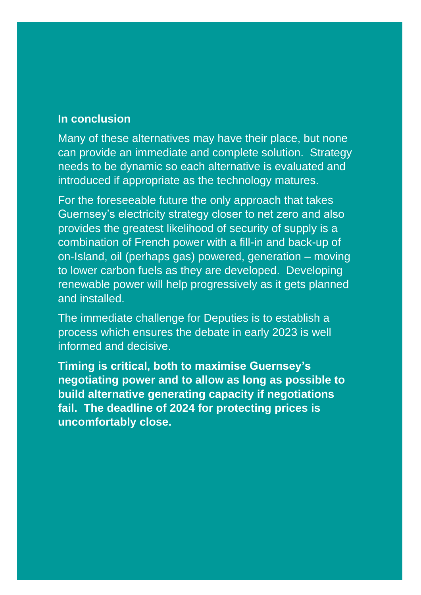# **In conclusion**

Many of these alternatives may have their place, but none can provide an immediate and complete solution. Strategy needs to be dynamic so each alternative is evaluated and introduced if appropriate as the technology matures.

For the foreseeable future the only approach that takes Guernsey's electricity strategy closer to net zero and also provides the greatest likelihood of security of supply is a combination of French power with a fill-in and back-up of on-Island, oil (perhaps gas) powered, generation – moving to lower carbon fuels as they are developed. Developing renewable power will help progressively as it gets planned and installed.

The immediate challenge for Deputies is to establish a process which ensures the debate in early 2023 is well informed and decisive.

**Timing is critical, both to maximise Guernsey's negotiating power and to allow as long as possible to build alternative generating capacity if negotiations fail. The deadline of 2024 for protecting prices is uncomfortably close.**